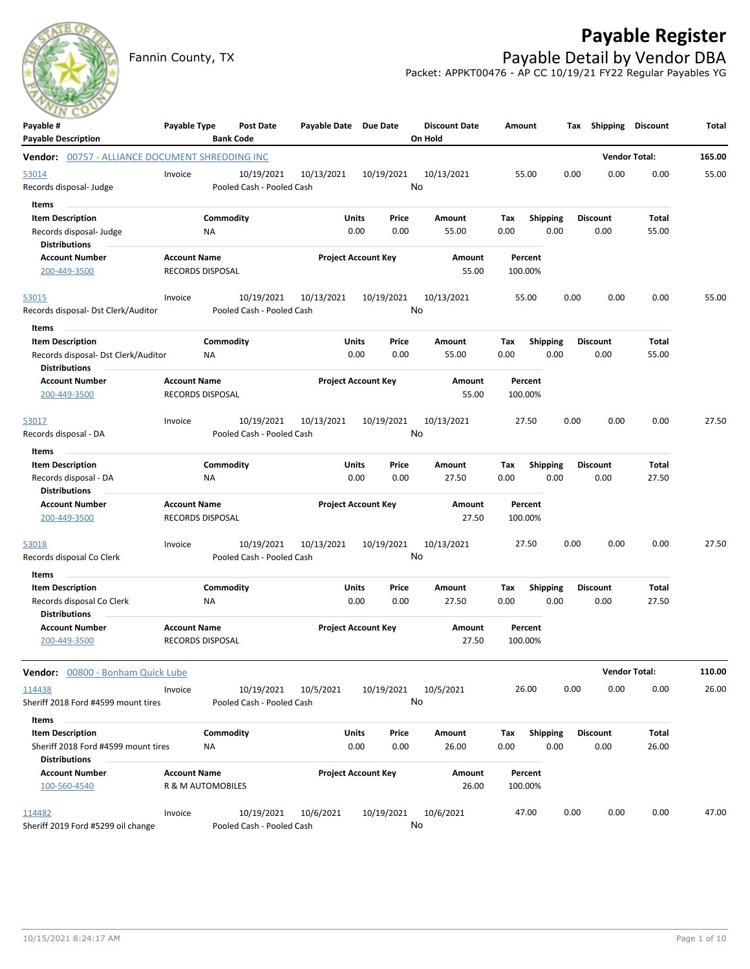# **Payable Register**



Fannin County, TX **Payable Detail by Vendor DBA** Packet: APPKT00476 - AP CC 10/19/21 FY22 Regular Payables YG

| Payable #<br><b>Payable Description</b>                                                         | Payable Type                                   |                 | <b>Post Date</b><br><b>Bank Code</b>    | Payable Date Due Date |                            |      | <b>Discount Date</b><br>On Hold | Amount             |                         |      | Tax Shipping Discount   |                       | Total  |
|-------------------------------------------------------------------------------------------------|------------------------------------------------|-----------------|-----------------------------------------|-----------------------|----------------------------|------|---------------------------------|--------------------|-------------------------|------|-------------------------|-----------------------|--------|
| Vendor: 00757 - ALLIANCE DOCUMENT SHREDDING INC                                                 |                                                |                 |                                         |                       |                            |      |                                 |                    |                         |      |                         | <b>Vendor Total:</b>  | 165.00 |
| 53014<br>Records disposal- Judge                                                                | Invoice                                        |                 | 10/19/2021<br>Pooled Cash - Pooled Cash | 10/13/2021            | 10/19/2021                 | No   | 10/13/2021                      | 55.00              |                         | 0.00 | 0.00                    | 0.00                  | 55.00  |
| Items<br><b>Item Description</b><br>Records disposal- Judge<br><b>Distributions</b>             |                                                | Commodity<br>ΝA |                                         |                       | Units<br>Price<br>0.00     | 0.00 | Amount<br>55.00                 | Tax<br>0.00        | <b>Shipping</b><br>0.00 |      | <b>Discount</b><br>0.00 | Total<br>55.00        |        |
| <b>Account Number</b><br>200-449-3500                                                           | <b>Account Name</b><br>RECORDS DISPOSAL        |                 |                                         |                       | <b>Project Account Key</b> |      | Amount<br>55.00                 | Percent<br>100.00% |                         |      |                         |                       |        |
| 53015<br>Records disposal- Dst Clerk/Auditor                                                    | Invoice                                        |                 | 10/19/2021<br>Pooled Cash - Pooled Cash | 10/13/2021            | 10/19/2021                 | No   | 10/13/2021                      | 55.00              |                         | 0.00 | 0.00                    | 0.00                  | 55.00  |
| Items<br><b>Item Description</b><br>Records disposal- Dst Clerk/Auditor<br><b>Distributions</b> |                                                | Commodity<br>ΝA |                                         |                       | Units<br>Price<br>0.00     | 0.00 | Amount<br>55.00                 | Tax<br>0.00        | <b>Shipping</b><br>0.00 |      | <b>Discount</b><br>0.00 | Total<br>55.00        |        |
| <b>Account Number</b><br>200-449-3500                                                           | <b>Account Name</b><br>RECORDS DISPOSAL        |                 |                                         |                       | <b>Project Account Key</b> |      | Amount<br>55.00                 | Percent<br>100.00% |                         |      |                         |                       |        |
| 53017<br>Records disposal - DA                                                                  | Invoice                                        |                 | 10/19/2021<br>Pooled Cash - Pooled Cash | 10/13/2021            | 10/19/2021                 | No   | 10/13/2021                      | 27.50              |                         | 0.00 | 0.00                    | 0.00                  | 27.50  |
| Items<br><b>Item Description</b><br>Records disposal - DA<br><b>Distributions</b>               |                                                | Commodity<br>NA |                                         |                       | Units<br>Price<br>0.00     | 0.00 | Amount<br>27.50                 | Tax<br>0.00        | Shipping<br>0.00        |      | <b>Discount</b><br>0.00 | Total<br>27.50        |        |
| <b>Account Number</b><br>200-449-3500                                                           | <b>Account Name</b><br><b>RECORDS DISPOSAL</b> |                 |                                         |                       | <b>Project Account Key</b> |      | Amount<br>27.50                 | Percent<br>100.00% |                         |      |                         |                       |        |
| 53018<br>Records disposal Co Clerk                                                              | Invoice                                        |                 | 10/19/2021<br>Pooled Cash - Pooled Cash | 10/13/2021            | 10/19/2021                 | No   | 10/13/2021                      | 27.50              |                         | 0.00 | 0.00                    | 0.00                  | 27.50  |
| Items<br><b>Item Description</b><br>Records disposal Co Clerk<br><b>Distributions</b>           |                                                | Commodity<br>ΝA |                                         |                       | Units<br>Price<br>0.00     | 0.00 | Amount<br>27.50                 | Tax<br>0.00        | <b>Shipping</b><br>0.00 |      | <b>Discount</b><br>0.00 | Total<br>27.50        |        |
| <b>Account Number</b><br>200-449-3500                                                           | <b>Account Name</b><br><b>RECORDS DISPOSAL</b> |                 |                                         |                       | <b>Project Account Key</b> |      | Amount<br>27.50                 | Percent<br>100.00% |                         |      |                         |                       |        |
| Vendor: 00800 - Bonham Quick Lube                                                               |                                                |                 |                                         |                       |                            |      |                                 |                    |                         |      |                         | <b>Vendor Total:</b>  | 110.00 |
| 114438<br>Sheriff 2018 Ford #4599 mount tires                                                   | Invoice                                        |                 | 10/19/2021<br>Pooled Cash - Pooled Cash | 10/5/2021             | 10/19/2021                 | No   | 10/5/2021                       | 26.00              |                         | 0.00 | 0.00                    | 0.00                  | 26.00  |
| Items<br><b>Item Description</b><br>Sheriff 2018 Ford #4599 mount tires<br><b>Distributions</b> |                                                | Commodity<br>NA |                                         |                       | Units<br>Price<br>0.00     | 0.00 | Amount<br>26.00                 | Tax<br>0.00        | <b>Shipping</b><br>0.00 |      | <b>Discount</b><br>0.00 | <b>Total</b><br>26.00 |        |
| <b>Account Number</b><br>100-560-4540                                                           | <b>Account Name</b><br>R & M AUTOMOBILES       |                 |                                         |                       | <b>Project Account Key</b> |      | Amount<br>26.00                 | Percent<br>100.00% |                         |      |                         |                       |        |
| 114482<br>Sheriff 2019 Ford #5299 oil change                                                    | Invoice                                        |                 | 10/19/2021<br>Pooled Cash - Pooled Cash | 10/6/2021             | 10/19/2021                 | No   | 10/6/2021                       | 47.00              |                         | 0.00 | 0.00                    | 0.00                  | 47.00  |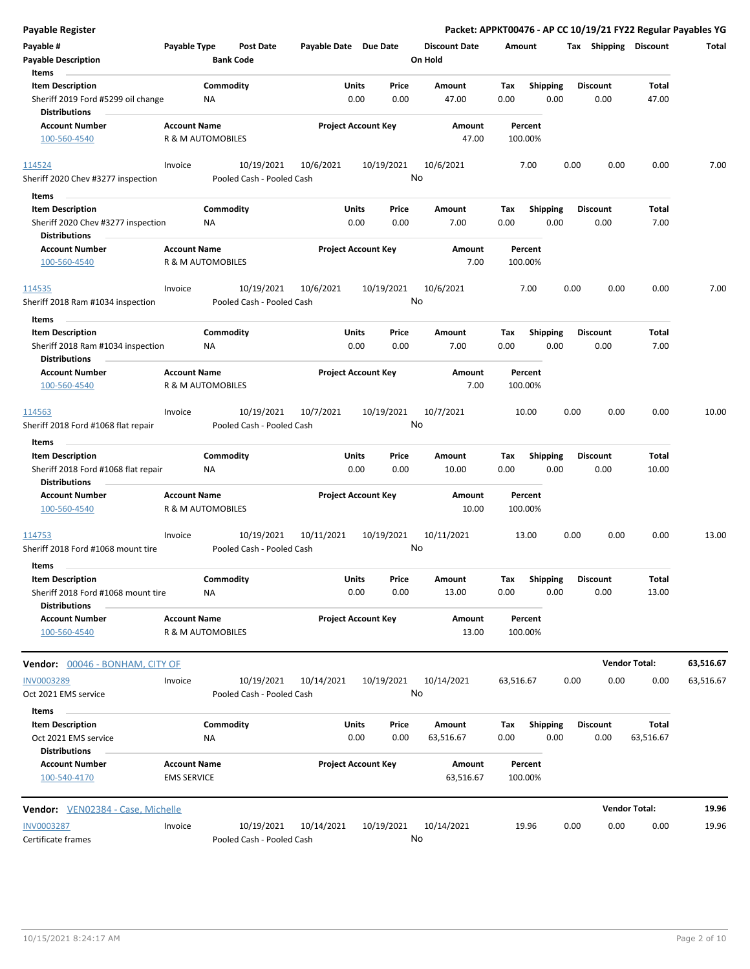| <b>Payable Register</b>                                                                |                                          |                  |                                         |                       |                            |                  |                                 |             |                         |      |                         |                      | Packet: APPKT00476 - AP CC 10/19/21 FY22 Regular Payables YG |
|----------------------------------------------------------------------------------------|------------------------------------------|------------------|-----------------------------------------|-----------------------|----------------------------|------------------|---------------------------------|-------------|-------------------------|------|-------------------------|----------------------|--------------------------------------------------------------|
| Payable #<br><b>Payable Description</b>                                                | Payable Type                             | <b>Bank Code</b> | <b>Post Date</b>                        | Payable Date Due Date |                            |                  | <b>Discount Date</b><br>On Hold | Amount      |                         |      | Tax Shipping Discount   |                      | Total                                                        |
| Items<br><b>Item Description</b>                                                       |                                          | Commodity        |                                         |                       | Units                      | Price            | Amount                          | Tax         | <b>Shipping</b>         |      | <b>Discount</b>         | Total                |                                                              |
| Sheriff 2019 Ford #5299 oil change<br><b>Distributions</b>                             |                                          | NA               |                                         |                       | 0.00                       | 0.00             | 47.00                           | 0.00        | 0.00                    |      | 0.00                    | 47.00                |                                                              |
| <b>Account Number</b>                                                                  | <b>Account Name</b>                      |                  |                                         |                       | <b>Project Account Key</b> |                  | Amount                          | Percent     |                         |      |                         |                      |                                                              |
| 100-560-4540                                                                           | R & M AUTOMOBILES                        |                  |                                         |                       |                            |                  | 47.00                           | 100.00%     |                         |      |                         |                      |                                                              |
| 114524                                                                                 | Invoice                                  |                  | 10/19/2021                              | 10/6/2021             |                            | 10/19/2021       | 10/6/2021                       | 7.00        |                         | 0.00 | 0.00                    | 0.00                 | 7.00                                                         |
| Sheriff 2020 Chev #3277 inspection                                                     |                                          |                  | Pooled Cash - Pooled Cash               |                       |                            | No               |                                 |             |                         |      |                         |                      |                                                              |
| Items                                                                                  |                                          |                  |                                         |                       |                            |                  |                                 |             |                         |      |                         |                      |                                                              |
| <b>Item Description</b>                                                                |                                          | Commodity        |                                         |                       | Units                      | Price            | Amount                          | Tax         | <b>Shipping</b>         |      | <b>Discount</b>         | Total                |                                                              |
| Sheriff 2020 Chev #3277 inspection<br><b>Distributions</b>                             |                                          | ΝA               |                                         |                       | 0.00                       | 0.00             | 7.00                            | 0.00        | 0.00                    |      | 0.00                    | 7.00                 |                                                              |
| <b>Account Number</b>                                                                  | <b>Account Name</b>                      |                  |                                         |                       | <b>Project Account Key</b> |                  | Amount                          | Percent     |                         |      |                         |                      |                                                              |
| 100-560-4540                                                                           | R & M AUTOMOBILES                        |                  |                                         |                       |                            |                  | 7.00                            | 100.00%     |                         |      |                         |                      |                                                              |
| 114535                                                                                 | Invoice                                  |                  | 10/19/2021                              | 10/6/2021             |                            | 10/19/2021       | 10/6/2021                       | 7.00        |                         | 0.00 | 0.00                    | 0.00                 | 7.00                                                         |
| Sheriff 2018 Ram #1034 inspection                                                      |                                          |                  | Pooled Cash - Pooled Cash               |                       |                            | No               |                                 |             |                         |      |                         |                      |                                                              |
| Items<br><b>Item Description</b>                                                       |                                          | Commodity        |                                         |                       | Units                      | Price            | Amount                          | Tax         | <b>Shipping</b>         |      | <b>Discount</b>         | Total                |                                                              |
| Sheriff 2018 Ram #1034 inspection                                                      |                                          | ΝA               |                                         |                       | 0.00                       | 0.00             | 7.00                            | 0.00        | 0.00                    |      | 0.00                    | 7.00                 |                                                              |
| Distributions                                                                          |                                          |                  |                                         |                       |                            |                  |                                 | Percent     |                         |      |                         |                      |                                                              |
| <b>Account Number</b><br>100-560-4540                                                  | <b>Account Name</b><br>R & M AUTOMOBILES |                  |                                         |                       | <b>Project Account Key</b> |                  | Amount<br>7.00                  | 100.00%     |                         |      |                         |                      |                                                              |
| 114563                                                                                 | Invoice                                  |                  | 10/19/2021                              | 10/7/2021             |                            | 10/19/2021       | 10/7/2021                       | 10.00       |                         | 0.00 | 0.00                    | 0.00                 | 10.00                                                        |
| Sheriff 2018 Ford #1068 flat repair                                                    |                                          |                  | Pooled Cash - Pooled Cash               |                       |                            | No               |                                 |             |                         |      |                         |                      |                                                              |
| Items                                                                                  |                                          |                  |                                         |                       |                            |                  |                                 |             |                         |      |                         |                      |                                                              |
| <b>Item Description</b><br>Sheriff 2018 Ford #1068 flat repair<br><b>Distributions</b> |                                          | Commodity<br>NA  |                                         |                       | Units<br>0.00              | Price<br>0.00    | Amount<br>10.00                 | Tax<br>0.00 | <b>Shipping</b><br>0.00 |      | <b>Discount</b><br>0.00 | Total<br>10.00       |                                                              |
| <b>Account Number</b>                                                                  | <b>Account Name</b>                      |                  |                                         |                       | <b>Project Account Key</b> |                  | Amount                          | Percent     |                         |      |                         |                      |                                                              |
| 100-560-4540                                                                           | R & M AUTOMOBILES                        |                  |                                         |                       |                            |                  | 10.00                           | 100.00%     |                         |      |                         |                      |                                                              |
| 114753                                                                                 | Invoice                                  |                  | 10/19/2021                              | 10/11/2021            |                            | 10/19/2021       | 10/11/2021                      | 13.00       |                         | 0.00 | 0.00                    | 0.00                 | 13.00                                                        |
| Sheriff 2018 Ford #1068 mount tire                                                     |                                          |                  | Pooled Cash - Pooled Cash               |                       |                            | No               |                                 |             |                         |      |                         |                      |                                                              |
| Items<br><b>Item Description</b>                                                       |                                          | Commodity        |                                         |                       | Units                      | Price            | Amount                          | Tax         | Shipping                |      | <b>Discount</b>         | Total                |                                                              |
| Sheriff 2018 Ford #1068 mount tire<br><b>Distributions</b>                             |                                          | ΝA               |                                         |                       | 0.00                       | 0.00             | 13.00                           | 0.00        | 0.00                    |      | 0.00                    | 13.00                |                                                              |
| Account Number                                                                         | <b>Account Name</b>                      |                  |                                         |                       | <b>Project Account Key</b> |                  | Amount                          | Percent     |                         |      |                         |                      |                                                              |
| 100-560-4540                                                                           | R & M AUTOMOBILES                        |                  |                                         |                       |                            |                  | 13.00                           | 100.00%     |                         |      |                         |                      |                                                              |
| <b>Vendor: 00046 - BONHAM, CITY OF</b>                                                 |                                          |                  |                                         |                       |                            |                  |                                 |             |                         |      |                         | <b>Vendor Total:</b> | 63,516.67                                                    |
| <b>INV0003289</b>                                                                      | Invoice                                  |                  | 10/19/2021                              | 10/14/2021            |                            | 10/19/2021       | 10/14/2021                      | 63,516.67   |                         | 0.00 | 0.00                    | 0.00                 | 63,516.67                                                    |
| Oct 2021 EMS service                                                                   |                                          |                  | Pooled Cash - Pooled Cash               |                       |                            | No               |                                 |             |                         |      |                         |                      |                                                              |
| Items<br><b>Item Description</b>                                                       |                                          | Commodity        |                                         |                       | Units                      | Price            | Amount                          | Tax         | Shipping                |      | <b>Discount</b>         | Total                |                                                              |
| Oct 2021 EMS service                                                                   |                                          | NA               |                                         |                       | 0.00                       | 0.00             | 63,516.67                       | 0.00        | 0.00                    |      | 0.00                    | 63,516.67            |                                                              |
| <b>Distributions</b><br>Account Number                                                 | <b>Account Name</b>                      |                  |                                         |                       | <b>Project Account Key</b> |                  | Amount                          | Percent     |                         |      |                         |                      |                                                              |
| 100-540-4170                                                                           | <b>EMS SERVICE</b>                       |                  |                                         |                       |                            |                  | 63,516.67                       | 100.00%     |                         |      |                         |                      |                                                              |
| Vendor: VEN02384 - Case, Michelle                                                      |                                          |                  |                                         |                       |                            |                  |                                 |             |                         |      |                         | <b>Vendor Total:</b> | 19.96                                                        |
| <b>INV0003287</b><br>Certificate frames                                                | Invoice                                  |                  | 10/19/2021<br>Pooled Cash - Pooled Cash | 10/14/2021            |                            | 10/19/2021<br>No | 10/14/2021                      | 19.96       |                         | 0.00 | 0.00                    | 0.00                 | 19.96                                                        |
|                                                                                        |                                          |                  |                                         |                       |                            |                  |                                 |             |                         |      |                         |                      |                                                              |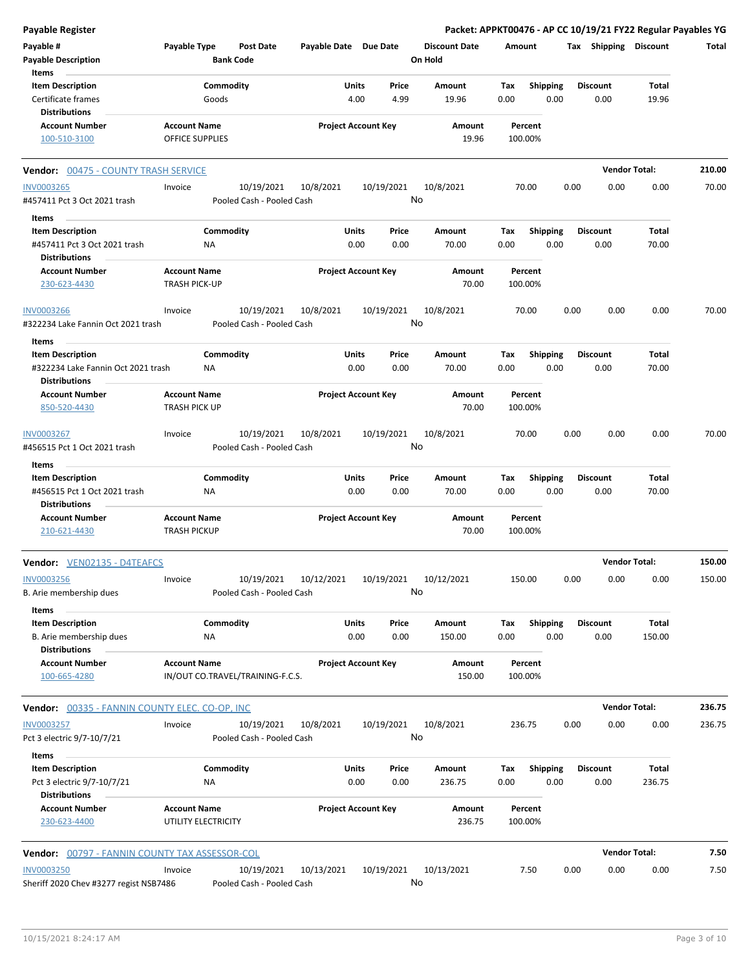| <b>Payable Register</b>                               |                                  |                           |                            |              |            |                      |        |                 |      |                       | Packet: APPKT00476 - AP CC 10/19/21 FY22 Regular Payables YG |        |
|-------------------------------------------------------|----------------------------------|---------------------------|----------------------------|--------------|------------|----------------------|--------|-----------------|------|-----------------------|--------------------------------------------------------------|--------|
| Payable #                                             | Payable Type                     | <b>Post Date</b>          | Payable Date Due Date      |              |            | <b>Discount Date</b> | Amount |                 |      | Tax Shipping Discount |                                                              | Total  |
| <b>Payable Description</b>                            |                                  | <b>Bank Code</b>          |                            |              |            | On Hold              |        |                 |      |                       |                                                              |        |
| Items                                                 |                                  |                           |                            |              |            |                      |        |                 |      |                       |                                                              |        |
| <b>Item Description</b>                               | Commodity                        |                           |                            | Units        | Price      | Amount               | Tax    | <b>Shipping</b> |      | <b>Discount</b>       | Total                                                        |        |
| Certificate frames                                    | Goods                            |                           |                            | 4.00         | 4.99       | 19.96                | 0.00   | 0.00            |      | 0.00                  | 19.96                                                        |        |
| <b>Distributions</b>                                  |                                  |                           |                            |              |            |                      |        |                 |      |                       |                                                              |        |
| <b>Account Number</b>                                 | <b>Account Name</b>              |                           | <b>Project Account Key</b> |              |            | Amount               |        | Percent         |      |                       |                                                              |        |
| 100-510-3100                                          | <b>OFFICE SUPPLIES</b>           |                           |                            |              |            | 19.96                |        | 100.00%         |      |                       |                                                              |        |
| Vendor: 00475 - COUNTY TRASH SERVICE                  |                                  |                           |                            |              |            |                      |        |                 |      | <b>Vendor Total:</b>  |                                                              | 210.00 |
| <b>INV0003265</b>                                     | Invoice                          | 10/19/2021                | 10/8/2021                  |              | 10/19/2021 | 10/8/2021            |        | 70.00           | 0.00 | 0.00                  | 0.00                                                         | 70.00  |
| #457411 Pct 3 Oct 2021 trash                          |                                  | Pooled Cash - Pooled Cash |                            |              |            | No                   |        |                 |      |                       |                                                              |        |
| Items                                                 |                                  |                           |                            |              |            |                      |        |                 |      |                       |                                                              |        |
| <b>Item Description</b>                               | Commodity                        |                           |                            | Units        | Price      | Amount               | Tax    | Shipping        |      | <b>Discount</b>       | Total                                                        |        |
| #457411 Pct 3 Oct 2021 trash                          | ΝA                               |                           |                            | 0.00         | 0.00       | 70.00                | 0.00   | 0.00            |      | 0.00                  | 70.00                                                        |        |
| <b>Distributions</b>                                  |                                  |                           |                            |              |            |                      |        |                 |      |                       |                                                              |        |
| <b>Account Number</b>                                 | <b>Account Name</b>              |                           | <b>Project Account Key</b> |              |            | Amount               |        | Percent         |      |                       |                                                              |        |
| 230-623-4430                                          | TRASH PICK-UP                    |                           |                            |              |            | 70.00                |        | 100.00%         |      |                       |                                                              |        |
| <b>INV0003266</b>                                     | Invoice                          | 10/19/2021                | 10/8/2021                  |              | 10/19/2021 | 10/8/2021            |        | 70.00           | 0.00 | 0.00                  | 0.00                                                         | 70.00  |
| #322234 Lake Fannin Oct 2021 trash                    |                                  | Pooled Cash - Pooled Cash |                            |              |            | No                   |        |                 |      |                       |                                                              |        |
| Items                                                 |                                  |                           |                            |              |            |                      |        |                 |      |                       |                                                              |        |
| <b>Item Description</b>                               | Commodity                        |                           |                            | Units        | Price      | Amount               | Tax    | <b>Shipping</b> |      | <b>Discount</b>       | Total                                                        |        |
| #322234 Lake Fannin Oct 2021 trash                    | NA.                              |                           |                            | 0.00         | 0.00       | 70.00                | 0.00   | 0.00            |      | 0.00                  | 70.00                                                        |        |
| <b>Distributions</b>                                  |                                  |                           |                            |              |            |                      |        |                 |      |                       |                                                              |        |
| <b>Account Number</b>                                 | <b>Account Name</b>              |                           | <b>Project Account Key</b> |              |            | Amount               |        | Percent         |      |                       |                                                              |        |
| 850-520-4430                                          | <b>TRASH PICK UP</b>             |                           |                            |              |            | 70.00                |        | 100.00%         |      |                       |                                                              |        |
| INV0003267                                            | Invoice                          | 10/19/2021                | 10/8/2021                  |              | 10/19/2021 | 10/8/2021            |        | 70.00           | 0.00 | 0.00                  | 0.00                                                         | 70.00  |
| #456515 Pct 1 Oct 2021 trash                          |                                  | Pooled Cash - Pooled Cash |                            |              |            | No                   |        |                 |      |                       |                                                              |        |
| Items                                                 |                                  |                           |                            |              |            |                      |        |                 |      |                       |                                                              |        |
| <b>Item Description</b>                               | Commodity                        |                           |                            | Units        | Price      | Amount               | Tax    | <b>Shipping</b> |      | <b>Discount</b>       | Total                                                        |        |
| #456515 Pct 1 Oct 2021 trash                          | ΝA                               |                           |                            | 0.00         | 0.00       | 70.00                | 0.00   | 0.00            |      | 0.00                  | 70.00                                                        |        |
| <b>Distributions</b>                                  |                                  |                           |                            |              |            |                      |        |                 |      |                       |                                                              |        |
| <b>Account Number</b>                                 | <b>Account Name</b>              |                           | <b>Project Account Key</b> |              |            | Amount               |        | Percent         |      |                       |                                                              |        |
| 210-621-4430                                          | <b>TRASH PICKUP</b>              |                           |                            |              |            | 70.00                |        | 100.00%         |      |                       |                                                              |        |
| Vendor: VEN02135 - D4TEAFCS                           |                                  |                           |                            |              |            |                      |        |                 |      | <b>Vendor Total:</b>  |                                                              | 150.00 |
| <b>INV0003256</b>                                     | Invoice                          | 10/19/2021                | 10/12/2021                 |              | 10/19/2021 | 10/12/2021           |        | 150.00          | 0.00 | 0.00                  | 0.00                                                         | 150.00 |
| B. Arie membership dues                               |                                  | Pooled Cash - Pooled Cash |                            |              |            | No                   |        |                 |      |                       |                                                              |        |
| Items                                                 |                                  |                           |                            |              |            |                      |        |                 |      |                       |                                                              |        |
| <b>Item Description</b>                               | Commodity                        |                           |                            | Units        | Price      | Amount               | Tax    | <b>Shipping</b> |      | <b>Discount</b>       | Total                                                        |        |
| B. Arie membership dues                               | NA                               |                           |                            | 0.00         | 0.00       | 150.00               | 0.00   | 0.00            |      | 0.00                  | 150.00                                                       |        |
| <b>Distributions</b>                                  |                                  |                           |                            |              |            |                      |        |                 |      |                       |                                                              |        |
| <b>Account Number</b>                                 | <b>Account Name</b>              |                           | <b>Project Account Key</b> |              |            | Amount               |        | Percent         |      |                       |                                                              |        |
| 100-665-4280                                          | IN/OUT CO.TRAVEL/TRAINING-F.C.S. |                           |                            |              |            | 150.00               |        | 100.00%         |      |                       |                                                              |        |
| <b>Vendor: 00335 - FANNIN COUNTY ELEC. CO-OP, INC</b> |                                  |                           |                            |              |            |                      |        |                 |      | <b>Vendor Total:</b>  |                                                              | 236.75 |
| <b>INV0003257</b>                                     | Invoice                          | 10/19/2021                | 10/8/2021                  |              | 10/19/2021 | 10/8/2021            |        | 236.75          | 0.00 | 0.00                  | 0.00                                                         | 236.75 |
| Pct 3 electric 9/7-10/7/21                            |                                  | Pooled Cash - Pooled Cash |                            |              |            | No                   |        |                 |      |                       |                                                              |        |
|                                                       |                                  |                           |                            |              |            |                      |        |                 |      |                       |                                                              |        |
| Items                                                 |                                  |                           |                            |              |            |                      |        |                 |      |                       |                                                              |        |
| <b>Item Description</b>                               | Commodity                        |                           |                            | <b>Units</b> | Price      | Amount               | Tax    | <b>Shipping</b> |      | <b>Discount</b>       | Total                                                        |        |
| Pct 3 electric 9/7-10/7/21<br><b>Distributions</b>    | ΝA                               |                           |                            | 0.00         | 0.00       | 236.75               | 0.00   | 0.00            |      | 0.00                  | 236.75                                                       |        |
| <b>Account Number</b>                                 | <b>Account Name</b>              |                           | <b>Project Account Key</b> |              |            | Amount               |        | Percent         |      |                       |                                                              |        |
| 230-623-4400                                          | UTILITY ELECTRICITY              |                           |                            |              |            | 236.75               |        | 100.00%         |      |                       |                                                              |        |
|                                                       |                                  |                           |                            |              |            |                      |        |                 |      |                       |                                                              |        |
| Vendor: 00797 - FANNIN COUNTY TAX ASSESSOR-COL        |                                  |                           |                            |              |            |                      |        |                 |      |                       | <b>Vendor Total:</b>                                         | 7.50   |
| <b>INV0003250</b>                                     | Invoice                          | 10/19/2021                | 10/13/2021                 |              | 10/19/2021 | 10/13/2021           |        | 7.50            | 0.00 | 0.00                  | 0.00                                                         | 7.50   |
| Sheriff 2020 Chev #3277 regist NSB7486                |                                  | Pooled Cash - Pooled Cash |                            |              |            | No                   |        |                 |      |                       |                                                              |        |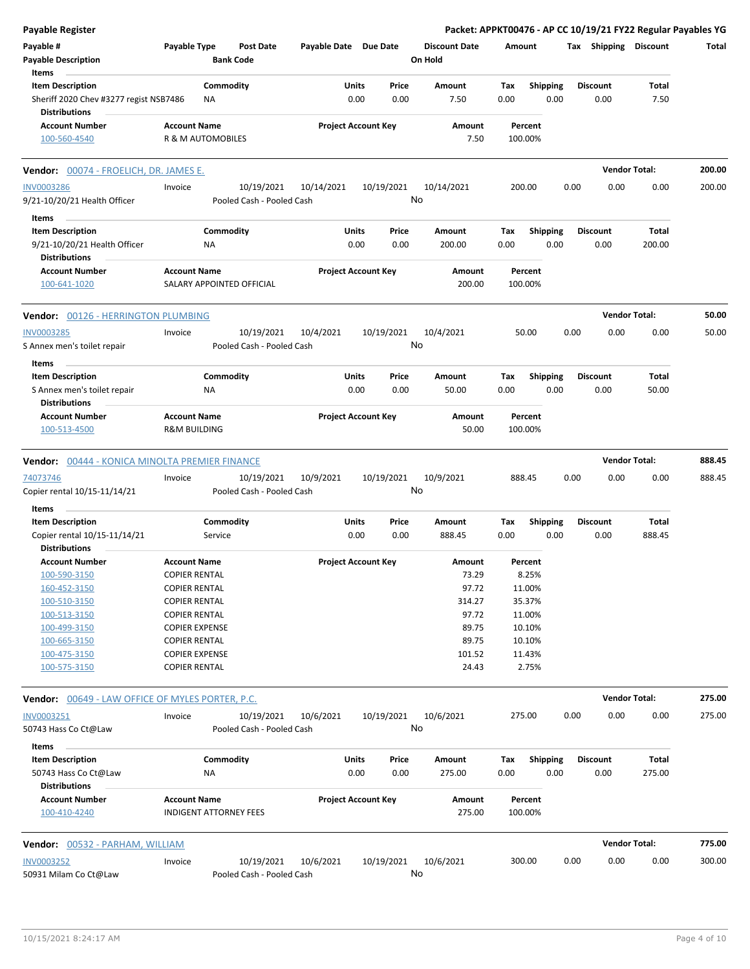| <b>Payable Register</b>                                        |                                                      |                           |                            |               |               |                      |             |                         |      |                         | Packet: APPKT00476 - AP CC 10/19/21 FY22 Regular Payables YG |        |
|----------------------------------------------------------------|------------------------------------------------------|---------------------------|----------------------------|---------------|---------------|----------------------|-------------|-------------------------|------|-------------------------|--------------------------------------------------------------|--------|
| Payable #                                                      | Payable Type                                         | <b>Post Date</b>          | Payable Date Due Date      |               |               | <b>Discount Date</b> | Amount      |                         |      | Tax Shipping Discount   |                                                              | Total  |
| <b>Payable Description</b>                                     |                                                      | <b>Bank Code</b>          |                            |               |               | On Hold              |             |                         |      |                         |                                                              |        |
| Items                                                          |                                                      |                           |                            |               |               |                      |             |                         |      |                         |                                                              |        |
| <b>Item Description</b>                                        | Commodity                                            |                           |                            | Units         | Price         | Amount               | Tax         | <b>Shipping</b>         |      | <b>Discount</b>         | Total                                                        |        |
| Sheriff 2020 Chev #3277 regist NSB7486<br><b>Distributions</b> | ΝA                                                   |                           |                            | 0.00          | 0.00          | 7.50                 | 0.00        | 0.00                    |      | 0.00                    | 7.50                                                         |        |
| <b>Account Number</b>                                          | <b>Account Name</b>                                  |                           | <b>Project Account Key</b> |               |               | Amount               |             | Percent                 |      |                         |                                                              |        |
| 100-560-4540                                                   | R & M AUTOMOBILES                                    |                           |                            |               |               | 7.50                 |             | 100.00%                 |      |                         |                                                              |        |
| <b>Vendor:</b> 00074 - FROELICH, DR. JAMES E.                  |                                                      |                           |                            |               |               |                      |             |                         |      |                         | <b>Vendor Total:</b>                                         | 200.00 |
| <b>INV0003286</b>                                              | Invoice                                              | 10/19/2021                | 10/14/2021                 |               | 10/19/2021    | 10/14/2021           | 200.00      |                         | 0.00 | 0.00                    | 0.00                                                         | 200.00 |
| 9/21-10/20/21 Health Officer                                   |                                                      | Pooled Cash - Pooled Cash |                            |               | No            |                      |             |                         |      |                         |                                                              |        |
|                                                                |                                                      |                           |                            |               |               |                      |             |                         |      |                         |                                                              |        |
| Items                                                          |                                                      |                           |                            |               |               |                      |             |                         |      |                         |                                                              |        |
| <b>Item Description</b>                                        | Commodity                                            |                           |                            | Units<br>0.00 | Price<br>0.00 | Amount<br>200.00     | Tax<br>0.00 | <b>Shipping</b><br>0.00 |      | <b>Discount</b><br>0.00 | <b>Total</b><br>200.00                                       |        |
| 9/21-10/20/21 Health Officer<br><b>Distributions</b>           | ΝA                                                   |                           |                            |               |               |                      |             |                         |      |                         |                                                              |        |
| <b>Account Number</b>                                          | <b>Account Name</b>                                  |                           | <b>Project Account Key</b> |               |               | Amount               |             | Percent                 |      |                         |                                                              |        |
| 100-641-1020                                                   | SALARY APPOINTED OFFICIAL                            |                           |                            |               |               | 200.00               |             | 100.00%                 |      |                         |                                                              |        |
|                                                                |                                                      |                           |                            |               |               |                      |             |                         |      |                         |                                                              |        |
| <b>Vendor: 00126 - HERRINGTON PLUMBING</b>                     |                                                      |                           |                            |               |               |                      |             |                         |      |                         | <b>Vendor Total:</b>                                         | 50.00  |
| <b>INV0003285</b>                                              | Invoice                                              | 10/19/2021                | 10/4/2021                  |               | 10/19/2021    | 10/4/2021            |             | 50.00                   | 0.00 | 0.00                    | 0.00                                                         | 50.00  |
| S Annex men's toilet repair                                    |                                                      | Pooled Cash - Pooled Cash |                            |               | No            |                      |             |                         |      |                         |                                                              |        |
| Items                                                          |                                                      |                           |                            |               |               |                      |             |                         |      |                         |                                                              |        |
| <b>Item Description</b>                                        | Commodity                                            |                           |                            | Units         | Price         | Amount               | Tax         | <b>Shipping</b>         |      | <b>Discount</b>         | Total                                                        |        |
| S Annex men's toilet repair                                    | NA                                                   |                           |                            | 0.00          | 0.00          | 50.00                | 0.00        | 0.00                    |      | 0.00                    | 50.00                                                        |        |
| <b>Distributions</b>                                           |                                                      |                           |                            |               |               |                      |             |                         |      |                         |                                                              |        |
| <b>Account Number</b>                                          | <b>Account Name</b>                                  |                           | <b>Project Account Key</b> |               |               | Amount               |             | Percent                 |      |                         |                                                              |        |
| 100-513-4500                                                   | <b>R&amp;M BUILDING</b>                              |                           |                            |               |               | 50.00                |             | 100.00%                 |      |                         |                                                              |        |
| <b>Vendor:</b> 00444 - KONICA MINOLTA PREMIER FINANCE          |                                                      |                           |                            |               |               |                      |             |                         |      |                         | <b>Vendor Total:</b>                                         | 888.45 |
| 74073746                                                       | Invoice                                              | 10/19/2021                | 10/9/2021                  |               | 10/19/2021    | 10/9/2021            | 888.45      |                         | 0.00 | 0.00                    | 0.00                                                         | 888.45 |
| Copier rental 10/15-11/14/21                                   |                                                      | Pooled Cash - Pooled Cash |                            |               | No            |                      |             |                         |      |                         |                                                              |        |
| Items                                                          |                                                      |                           |                            |               |               |                      |             |                         |      |                         |                                                              |        |
| <b>Item Description</b>                                        | Commodity                                            |                           |                            | Units         | Price         | Amount               | Tax         | <b>Shipping</b>         |      | <b>Discount</b>         | Total                                                        |        |
| Copier rental 10/15-11/14/21                                   | Service                                              |                           |                            | 0.00          | 0.00          | 888.45               | 0.00        | 0.00                    |      | 0.00                    | 888.45                                                       |        |
| <b>Distributions</b>                                           |                                                      |                           |                            |               |               |                      |             |                         |      |                         |                                                              |        |
| <b>Account Number</b>                                          | <b>Account Name</b>                                  |                           | <b>Project Account Key</b> |               |               | Amount               |             | Percent                 |      |                         |                                                              |        |
| 100-590-3150                                                   | <b>COPIER RENTAL</b>                                 |                           |                            |               |               | 73.29                |             | 8.25%                   |      |                         |                                                              |        |
| 160-452-3150                                                   | <b>COPIER RENTAL</b>                                 |                           |                            |               |               | 97.72                |             | 11.00%                  |      |                         |                                                              |        |
| 100-510-3150                                                   | <b>COPIER RENTAL</b>                                 |                           |                            |               |               | 314.27               |             | 35.37%                  |      |                         |                                                              |        |
| 100-513-3150                                                   | <b>COPIER RENTAL</b>                                 |                           |                            |               |               | 97.72                |             | 11.00%                  |      |                         |                                                              |        |
| 100-499-3150                                                   | <b>COPIER EXPENSE</b>                                |                           |                            |               |               | 89.75                |             | 10.10%                  |      |                         |                                                              |        |
| 100-665-3150                                                   | <b>COPIER RENTAL</b>                                 |                           |                            |               |               | 89.75                |             | 10.10%                  |      |                         |                                                              |        |
| 100-475-3150                                                   | <b>COPIER EXPENSE</b>                                |                           |                            |               |               | 101.52               |             | 11.43%                  |      |                         |                                                              |        |
| 100-575-3150                                                   | <b>COPIER RENTAL</b>                                 |                           |                            |               |               | 24.43                |             | 2.75%                   |      |                         |                                                              |        |
| <b>Vendor:</b> 00649 - LAW OFFICE OF MYLES PORTER, P.C.        |                                                      |                           |                            |               |               |                      |             |                         |      |                         | <b>Vendor Total:</b>                                         | 275.00 |
| INV0003251                                                     | Invoice                                              | 10/19/2021                | 10/6/2021                  |               | 10/19/2021    | 10/6/2021            | 275.00      |                         | 0.00 | 0.00                    | 0.00                                                         | 275.00 |
| 50743 Hass Co Ct@Law                                           |                                                      | Pooled Cash - Pooled Cash |                            |               |               | No                   |             |                         |      |                         |                                                              |        |
| Items                                                          |                                                      |                           |                            |               |               |                      |             |                         |      |                         |                                                              |        |
| <b>Item Description</b>                                        | Commodity                                            |                           |                            | Units         | Price         | Amount               | Тах         | <b>Shipping</b>         |      | <b>Discount</b>         | Total                                                        |        |
| 50743 Hass Co Ct@Law                                           | ΝA                                                   |                           |                            | 0.00          | 0.00          | 275.00               | 0.00        | 0.00                    |      | 0.00                    | 275.00                                                       |        |
| <b>Distributions</b>                                           |                                                      |                           |                            |               |               |                      |             |                         |      |                         |                                                              |        |
| <b>Account Number</b><br>100-410-4240                          | <b>Account Name</b><br><b>INDIGENT ATTORNEY FEES</b> |                           | <b>Project Account Key</b> |               |               | Amount<br>275.00     |             | Percent<br>100.00%      |      |                         |                                                              |        |
|                                                                |                                                      |                           |                            |               |               |                      |             |                         |      |                         |                                                              |        |
| Vendor: 00532 - PARHAM, WILLIAM                                |                                                      |                           |                            |               |               |                      |             |                         |      |                         | <b>Vendor Total:</b>                                         | 775.00 |
| <b>INV0003252</b>                                              | Invoice                                              | 10/19/2021                | 10/6/2021                  |               | 10/19/2021    | 10/6/2021            | 300.00      |                         | 0.00 | 0.00                    | 0.00                                                         | 300.00 |
| 50931 Milam Co Ct@Law                                          |                                                      | Pooled Cash - Pooled Cash |                            |               |               | No                   |             |                         |      |                         |                                                              |        |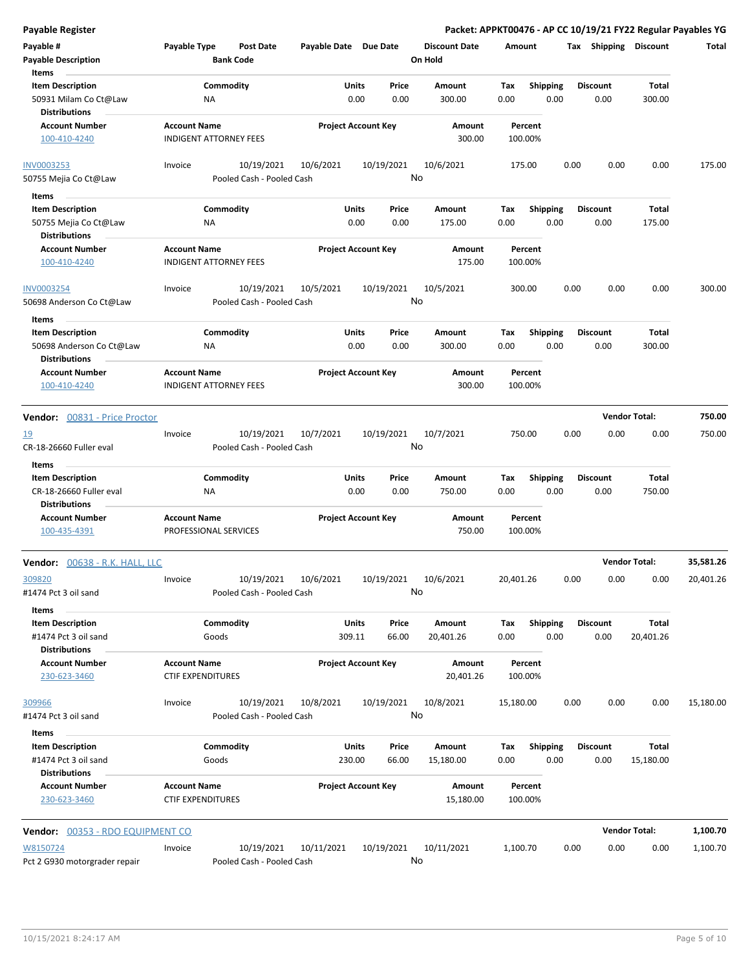**Payable # Payable Type Post Date Payable Date Due Date Payable Description Bank Code Discount Date Amount Tax Shipping Discount Total On Hold** 0.00 0.00 **Units** 50931 Milam Co Ct@Law 0.00 **Item Description** 300.00 **Price Amount Tax** 0.00 300.00 Commodity **Shipping Shipping Commodity Shipping Discount** Total NA **Items** 0.00 **Discount Account Number Account Name Project Account Key Amount Distributions Percent** 100-410-4240 INDIGENT ATTORNEY FEES 300.00 100.00% 10/19/2021 10/6/2021 10/19/2021 50755 Mejia Co Ct@Law Pooled Cash - Pooled Cash INV0003253 Invoice 10/6/2021 175.00 0.00 0.00 0.00 175.00 No 0.00 0.00 **Units** 50755 Mejia Co Ct@Law **175.00** NA 2000 0.00 0.00 0.00 0.00 0.00 0.00 **Item Description** 175.00 **Price Amount Tax** 0.00 175.00 Commodity **Shipping Shipping Commodity Shipping Discount** Total NA **Items** 0.00 **Discount Account Number Account Name Project Account Key Amount Distributions Percent** 100-410-4240 INDIGENT ATTORNEY FEES 175.00 100.00% 10/19/2021 10/5/2021 10/19/2021 50698 Anderson Co Ct@Law Pooled Cash - Pooled Cash INV0003254 Invoice 10/5/2021 300.00 0.00 0.00 0.00 300.00 No 0.00 0.00 **Units** 50698 Anderson Co Ct@Law 0.00 **Item Description** 300.00 **Price Amount Tax** 0.00 300.00 Commodity **Shipping Example 1 Commodity Shipping Discount** Total NA **Items** 0.00 **Discount Account Number Account Name Project Account Key Amount Distributions Percent** 100-410-4240 INDIGENT ATTORNEY FEES 300.00 100.00% **Vendor:** 00831 - Price Proctor **Vendor Total: 750.00** 10/19/2021 10/7/2021 10/19/2021 CR-18-26660 Fuller eval Pooled Cash - Pooled Cash 19 10 Invoice 10/19/2021 10/7/2021 10/19/2021 10/7/2021 750.00 0.00 0.00 0.00 750.00 No 0.00 0.00 **Units** CR-18-26660 Fuller eval 0.00 **Item Description** 750.00 **Price Amount Tax** 0.00 750.00 Commodity **Shipping Example 1 Commodity Shipping Discount** Total NA **Items** 0.00 **Discount Account Number Account Name Project Account Key Amount Distributions Percent** 100-435-4391 PROFESSIONAL SERVICES 750.00 100.00% **Vendor:** 00638 - R.K. HALL, LLC **Vendor Total: 35,581.26** 10/19/2021 10/6/2021 10/19/2021 #1474 Pct 3 oil sand Pooled Cash - Pooled Cash 3<u>09820</u> Invoice 10/19/2021 10/6/2021 10/19/2021 10/6/2021 20,401.26 0.00 0.00 0.00 20,401.26 No 309.11 66.00 **Units** #1474 Pct 3 oil sand 0.00 **Item Description** 20,401.26 **Price Amount Tax** 0.00 20,401.26 Commodity **Shipping Example 1 Commodity Shipping Discount** Total Goods **Items** 0.00 **Discount Account Number Account Name Project Account Key Amount Distributions Percent** 230-623-3460 CTIF EXPENDITURES 20,401.26 100.00% 10/19/2021 10/8/2021 10/19/2021 #1474 Pct 3 oil sand Pooled Cash - Pooled Cash 309966 Invoice 10/8/2021 15,180.00 0.00 0.00 0.00 15,180.00 No 230.00 66.00 **Units** #1474 Pct 3 oil sand 0.00 **Item Description** 15,180.00 **Price Amount Tax** 0.00 15,180.00 Commodity **Shipping Shipping Commodity Shipping Discount** Total Goods **Items** 0.00 **Discount Account Number Account Name Project Account Key Amount Distributions Percent** 230-623-3460 CTIF EXPENDITURES 15,180.00 100.00%

**Payable Register Packet: APPKT00476 - AP CC 10/19/21 FY22 Regular Payables YG**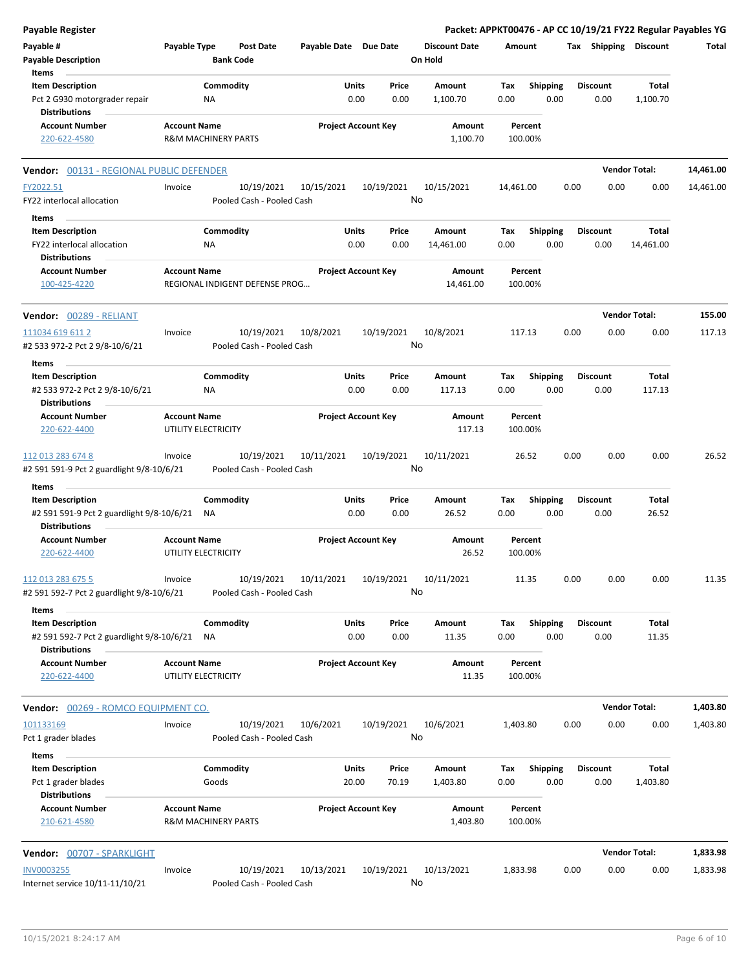| Payable Register                                                  |                     |                                |                                         |            |                            |               |                                 |             |                         |      |                         | Packet: APPKT00476 - AP CC 10/19/21 FY22 Regular Payables YG |           |
|-------------------------------------------------------------------|---------------------|--------------------------------|-----------------------------------------|------------|----------------------------|---------------|---------------------------------|-------------|-------------------------|------|-------------------------|--------------------------------------------------------------|-----------|
| Payable #<br><b>Payable Description</b>                           | Payable Type        | <b>Bank Code</b>               | Post Date                               |            | Payable Date Due Date      |               | <b>Discount Date</b><br>On Hold | Amount      |                         |      | Tax Shipping Discount   |                                                              | Total     |
| Items                                                             |                     |                                |                                         |            |                            |               |                                 |             |                         |      |                         |                                                              |           |
| <b>Item Description</b>                                           |                     | Commodity                      |                                         |            | Units                      | Price         | Amount                          | Tax         | <b>Shipping</b>         |      | <b>Discount</b>         | <b>Total</b>                                                 |           |
| Pct 2 G930 motorgrader repair<br><b>Distributions</b>             |                     | ΝA                             |                                         |            | 0.00                       | 0.00          | 1,100.70                        | 0.00        | 0.00                    |      | 0.00                    | 1,100.70                                                     |           |
| <b>Account Number</b>                                             | <b>Account Name</b> |                                |                                         |            | <b>Project Account Key</b> |               | Amount                          |             | Percent                 |      |                         |                                                              |           |
| 220-622-4580                                                      |                     | <b>R&amp;M MACHINERY PARTS</b> |                                         |            |                            |               | 1,100.70                        |             | 100.00%                 |      |                         |                                                              |           |
| Vendor: 00131 - REGIONAL PUBLIC DEFENDER                          |                     |                                |                                         |            |                            |               |                                 |             |                         |      |                         | <b>Vendor Total:</b>                                         | 14,461.00 |
| FY2022.51<br>FY22 interlocal allocation                           | Invoice             |                                | 10/19/2021<br>Pooled Cash - Pooled Cash | 10/15/2021 |                            | 10/19/2021    | 10/15/2021<br>No                | 14,461.00   |                         | 0.00 | 0.00                    | 0.00                                                         | 14,461.00 |
| Items                                                             |                     |                                |                                         |            |                            |               |                                 |             |                         |      |                         |                                                              |           |
| <b>Item Description</b>                                           |                     | Commodity                      |                                         |            | Units                      | Price         | Amount                          | Tax         | <b>Shipping</b>         |      | <b>Discount</b>         | Total                                                        |           |
| FY22 interlocal allocation                                        |                     | <b>NA</b>                      |                                         |            | 0.00                       | 0.00          | 14,461.00                       | 0.00        | 0.00                    |      | 0.00                    | 14,461.00                                                    |           |
| <b>Distributions</b><br><b>Account Number</b>                     | <b>Account Name</b> |                                |                                         |            | <b>Project Account Key</b> |               | Amount                          |             | Percent                 |      |                         |                                                              |           |
| 100-425-4220                                                      |                     |                                | REGIONAL INDIGENT DEFENSE PROG          |            |                            |               | 14,461.00                       |             | 100.00%                 |      |                         |                                                              |           |
| Vendor: 00289 - RELIANT                                           |                     |                                |                                         |            |                            |               |                                 |             |                         |      |                         | <b>Vendor Total:</b>                                         | 155.00    |
| 111034 619 611 2<br>#2 533 972-2 Pct 2 9/8-10/6/21                | Invoice             |                                | 10/19/2021<br>Pooled Cash - Pooled Cash | 10/8/2021  |                            | 10/19/2021    | 10/8/2021<br>No                 |             | 117.13                  | 0.00 | 0.00                    | 0.00                                                         | 117.13    |
| Items                                                             |                     |                                |                                         |            |                            |               |                                 |             |                         |      |                         |                                                              |           |
| <b>Item Description</b><br>#2 533 972-2 Pct 2 9/8-10/6/21         |                     | Commodity<br>ΝA                |                                         |            | Units<br>0.00              | Price<br>0.00 | Amount<br>117.13                | Tax<br>0.00 | <b>Shipping</b><br>0.00 |      | <b>Discount</b><br>0.00 | Total<br>117.13                                              |           |
| <b>Distributions</b><br><b>Account Number</b>                     | <b>Account Name</b> |                                |                                         |            | <b>Project Account Key</b> |               | Amount                          |             | Percent                 |      |                         |                                                              |           |
| 220-622-4400                                                      |                     | UTILITY ELECTRICITY            |                                         |            |                            |               | 117.13                          |             | 100.00%                 |      |                         |                                                              |           |
| 112 013 283 674 8<br>#2 591 591-9 Pct 2 guardlight 9/8-10/6/21    | Invoice             |                                | 10/19/2021<br>Pooled Cash - Pooled Cash | 10/11/2021 |                            | 10/19/2021    | 10/11/2021<br>No                |             | 26.52                   | 0.00 | 0.00                    | 0.00                                                         | 26.52     |
| Items                                                             |                     |                                |                                         |            |                            |               |                                 |             |                         |      |                         |                                                              |           |
| <b>Item Description</b>                                           |                     | Commodity                      |                                         |            | Units                      | Price         | Amount                          | Tax         | <b>Shipping</b>         |      | <b>Discount</b>         | Total                                                        |           |
| #2 591 591-9 Pct 2 guardlight 9/8-10/6/21<br><b>Distributions</b> |                     | ΝA                             |                                         |            | 0.00                       | 0.00          | 26.52                           | 0.00        | 0.00                    |      | 0.00                    | 26.52                                                        |           |
| <b>Account Number</b><br>220-622-4400                             | <b>Account Name</b> | UTILITY ELECTRICITY            |                                         |            | <b>Project Account Key</b> |               | Amount<br>26.52                 |             | Percent<br>100.00%      |      |                         |                                                              |           |
| 112 013 283 675 5<br>#2 591 592-7 Pct 2 guardlight 9/8-10/6/21    | Invoice             |                                | 10/19/2021<br>Pooled Cash - Pooled Cash | 10/11/2021 |                            | 10/19/2021    | 10/11/2021<br>No                |             | 11.35                   | 0.00 | 0.00                    | 0.00                                                         | 11.35     |
| Items                                                             |                     |                                |                                         |            |                            |               |                                 |             |                         |      |                         |                                                              |           |
| <b>Item Description</b>                                           |                     | Commodity                      |                                         |            | Units                      | Price         | Amount                          | Tax         | <b>Shipping</b>         |      | <b>Discount</b>         | Total                                                        |           |
| #2 591 592-7 Pct 2 guardlight 9/8-10/6/21<br><b>Distributions</b> |                     | ΝA                             |                                         |            | 0.00                       | 0.00          | 11.35                           | 0.00        | 0.00                    |      | 0.00                    | 11.35                                                        |           |
| <b>Account Number</b><br>220-622-4400                             | <b>Account Name</b> | UTILITY ELECTRICITY            |                                         |            | <b>Project Account Key</b> |               | Amount<br>11.35                 |             | Percent<br>100.00%      |      |                         |                                                              |           |
| <b>Vendor: 00269 - ROMCO EQUIPMENT CO.</b>                        |                     |                                |                                         |            |                            |               |                                 |             |                         |      |                         | <b>Vendor Total:</b>                                         | 1,403.80  |
| 101133169                                                         | Invoice             |                                | 10/19/2021                              | 10/6/2021  |                            | 10/19/2021    | 10/6/2021                       | 1,403.80    |                         | 0.00 | 0.00                    | 0.00                                                         | 1,403.80  |
| Pct 1 grader blades<br>Items                                      |                     |                                | Pooled Cash - Pooled Cash               |            |                            |               | No                              |             |                         |      |                         |                                                              |           |
| <b>Item Description</b>                                           |                     | Commodity                      |                                         |            | Units                      | Price         | Amount                          | Tax         | Shipping                |      | <b>Discount</b>         | Total                                                        |           |
| Pct 1 grader blades<br><b>Distributions</b>                       |                     | Goods                          |                                         |            | 20.00                      | 70.19         | 1,403.80                        | 0.00        | 0.00                    |      | 0.00                    | 1,403.80                                                     |           |
| <b>Account Number</b><br>210-621-4580                             | <b>Account Name</b> | <b>R&amp;M MACHINERY PARTS</b> |                                         |            | <b>Project Account Key</b> |               | Amount<br>1,403.80              |             | Percent<br>100.00%      |      |                         |                                                              |           |
| Vendor: 00707 - SPARKLIGHT                                        |                     |                                |                                         |            |                            |               |                                 |             |                         |      |                         | <b>Vendor Total:</b>                                         | 1,833.98  |
| <b>INV0003255</b>                                                 | Invoice             |                                | 10/19/2021                              | 10/13/2021 |                            | 10/19/2021    | 10/13/2021                      | 1,833.98    |                         | 0.00 | 0.00                    | 0.00                                                         | 1,833.98  |
| Internet service 10/11-11/10/21                                   |                     |                                | Pooled Cash - Pooled Cash               |            |                            |               | No                              |             |                         |      |                         |                                                              |           |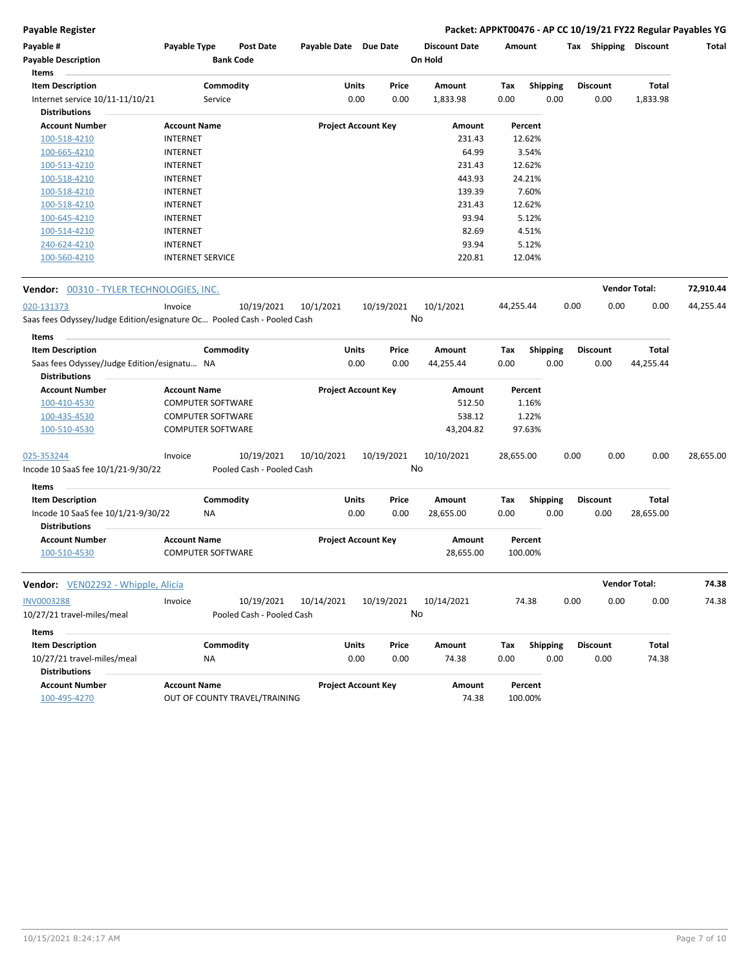#### **Payable Register Packet: APPKT00476 - AP CC 10/19/21 FY22 Regular Payables YG**

| Items<br><b>Item Description</b><br>Commodity<br>Units<br>Amount<br>Total<br>Price<br>Tax<br><b>Shipping</b><br><b>Discount</b><br>Internet service 10/11-11/10/21<br>0.00<br>0.00<br>1,833.98<br>0.00<br>0.00<br>0.00<br>1,833.98<br>Service<br><b>Distributions</b><br><b>Project Account Key</b><br><b>Account Number</b><br><b>Account Name</b><br>Amount<br>Percent<br><b>INTERNET</b><br>231.43<br>12.62%<br>100-518-4210<br>64.99<br>3.54%<br>100-665-4210<br><b>INTERNET</b><br>12.62%<br>100-513-4210<br><b>INTERNET</b><br>231.43<br><b>INTERNET</b><br>443.93<br>24.21%<br>100-518-4210<br>7.60%<br>139.39<br>100-518-4210<br><b>INTERNET</b><br>231.43<br>12.62%<br>100-518-4210<br><b>INTERNET</b><br>93.94<br>5.12%<br>100-645-4210<br><b>INTERNET</b><br>82.69<br>4.51%<br>100-514-4210<br><b>INTERNET</b><br>93.94<br><b>INTERNET</b><br>5.12%<br>240-624-4210<br>220.81<br>12.04%<br>100-560-4210<br><b>INTERNET SERVICE</b><br><b>Vendor Total:</b><br><b>Vendor: 00310 - TYLER TECHNOLOGIES, INC.</b><br>10/19/2021<br>10/1/2021<br>020-131373<br>Invoice<br>10/19/2021<br>10/1/2021<br>44,255.44<br>0.00<br>0.00<br>0.00<br>44,255.44<br>No<br>Saas fees Odyssey/Judge Edition/esignature Oc Pooled Cash - Pooled Cash<br>Items<br><b>Item Description</b><br>Commodity<br>Units<br>Price<br>Amount<br>Total<br>Tax<br><b>Shipping</b><br><b>Discount</b><br>Saas fees Odyssey/Judge Edition/esignatu NA<br>0.00<br>0.00<br>44,255.44<br>0.00<br>0.00<br>0.00<br>44,255.44<br><b>Distributions</b><br><b>Project Account Key</b><br><b>Account Number</b><br><b>Account Name</b><br>Amount<br>Percent<br>512.50<br>100-410-4530<br><b>COMPUTER SOFTWARE</b><br>1.16%<br>538.12<br>1.22%<br>100-435-4530<br><b>COMPUTER SOFTWARE</b><br><b>COMPUTER SOFTWARE</b><br>43,204.82<br>97.63%<br>100-510-4530<br>10/19/2021<br>10/10/2021<br>10/19/2021<br>10/10/2021<br>0.00<br>0.00<br>0.00<br>Invoice<br>28,655.00<br>No<br>Incode 10 SaaS fee 10/1/21-9/30/22<br>Pooled Cash - Pooled Cash<br>Items<br><b>Item Description</b><br>Commodity<br>Units<br>Total<br>Price<br>Amount<br>Tax<br><b>Shipping</b><br><b>Discount</b><br>0.00<br>0.00<br>0.00<br>0.00<br>Incode 10 SaaS fee 10/1/21-9/30/22<br>28,655.00<br>0.00<br>28,655.00<br>ΝA<br><b>Distributions</b><br><b>Account Name</b><br><b>Project Account Key</b><br><b>Account Number</b><br>Amount<br>Percent<br>100-510-4530<br><b>COMPUTER SOFTWARE</b><br>28,655.00<br>100.00%<br>74.38<br><b>Vendor Total:</b><br><b>Vendor:</b> VEN02292 - Whipple, Alicia<br>0.00<br>0.00<br>74.38<br>INV0003288<br>10/19/2021<br>10/14/2021<br>10/19/2021<br>10/14/2021<br>74.38<br>0.00<br>Invoice<br>No<br>10/27/21 travel-miles/meal<br>Pooled Cash - Pooled Cash<br>Items<br><b>Item Description</b><br>Commodity<br>Units<br>Price<br>Amount<br>Tax<br><b>Shipping</b><br><b>Discount</b><br>Total<br>0.00<br>74.38<br>0.00<br>0.00<br>74.38<br>10/27/21 travel-miles/meal<br>0.00<br>0.00<br>ΝA<br><b>Distributions</b><br><b>Account Number</b><br><b>Account Name</b><br><b>Project Account Key</b><br>Amount<br>Percent<br>100-495-4270<br>OUT OF COUNTY TRAVEL/TRAINING<br>74.38<br>100.00% | Payable #<br><b>Payable Description</b> | Payable Type | Post Date<br><b>Bank Code</b> | Payable Date Due Date |  | <b>Discount Date</b><br>On Hold | Amount | Tax | Shipping | <b>Discount</b> | Total |
|------------------------------------------------------------------------------------------------------------------------------------------------------------------------------------------------------------------------------------------------------------------------------------------------------------------------------------------------------------------------------------------------------------------------------------------------------------------------------------------------------------------------------------------------------------------------------------------------------------------------------------------------------------------------------------------------------------------------------------------------------------------------------------------------------------------------------------------------------------------------------------------------------------------------------------------------------------------------------------------------------------------------------------------------------------------------------------------------------------------------------------------------------------------------------------------------------------------------------------------------------------------------------------------------------------------------------------------------------------------------------------------------------------------------------------------------------------------------------------------------------------------------------------------------------------------------------------------------------------------------------------------------------------------------------------------------------------------------------------------------------------------------------------------------------------------------------------------------------------------------------------------------------------------------------------------------------------------------------------------------------------------------------------------------------------------------------------------------------------------------------------------------------------------------------------------------------------------------------------------------------------------------------------------------------------------------------------------------------------------------------------------------------------------------------------------------------------------------------------------------------------------------------------------------------------------------------------------------------------------------------------------------------------------------------------------------------------------------------------------------------------------------------------------------------------------------------------------------------------------------------------------------------------------------------------------------------------------------------------------------------------------------------------------------------------------------------------------------------------------------------------------------------------------------|-----------------------------------------|--------------|-------------------------------|-----------------------|--|---------------------------------|--------|-----|----------|-----------------|-------|
| 72,910.44<br>28,655.00                                                                                                                                                                                                                                                                                                                                                                                                                                                                                                                                                                                                                                                                                                                                                                                                                                                                                                                                                                                                                                                                                                                                                                                                                                                                                                                                                                                                                                                                                                                                                                                                                                                                                                                                                                                                                                                                                                                                                                                                                                                                                                                                                                                                                                                                                                                                                                                                                                                                                                                                                                                                                                                                                                                                                                                                                                                                                                                                                                                                                                                                                                                                                 |                                         |              |                               |                       |  |                                 |        |     |          |                 |       |
|                                                                                                                                                                                                                                                                                                                                                                                                                                                                                                                                                                                                                                                                                                                                                                                                                                                                                                                                                                                                                                                                                                                                                                                                                                                                                                                                                                                                                                                                                                                                                                                                                                                                                                                                                                                                                                                                                                                                                                                                                                                                                                                                                                                                                                                                                                                                                                                                                                                                                                                                                                                                                                                                                                                                                                                                                                                                                                                                                                                                                                                                                                                                                                        |                                         |              |                               |                       |  |                                 |        |     |          |                 |       |
|                                                                                                                                                                                                                                                                                                                                                                                                                                                                                                                                                                                                                                                                                                                                                                                                                                                                                                                                                                                                                                                                                                                                                                                                                                                                                                                                                                                                                                                                                                                                                                                                                                                                                                                                                                                                                                                                                                                                                                                                                                                                                                                                                                                                                                                                                                                                                                                                                                                                                                                                                                                                                                                                                                                                                                                                                                                                                                                                                                                                                                                                                                                                                                        |                                         |              |                               |                       |  |                                 |        |     |          |                 |       |
|                                                                                                                                                                                                                                                                                                                                                                                                                                                                                                                                                                                                                                                                                                                                                                                                                                                                                                                                                                                                                                                                                                                                                                                                                                                                                                                                                                                                                                                                                                                                                                                                                                                                                                                                                                                                                                                                                                                                                                                                                                                                                                                                                                                                                                                                                                                                                                                                                                                                                                                                                                                                                                                                                                                                                                                                                                                                                                                                                                                                                                                                                                                                                                        |                                         |              |                               |                       |  |                                 |        |     |          |                 |       |
|                                                                                                                                                                                                                                                                                                                                                                                                                                                                                                                                                                                                                                                                                                                                                                                                                                                                                                                                                                                                                                                                                                                                                                                                                                                                                                                                                                                                                                                                                                                                                                                                                                                                                                                                                                                                                                                                                                                                                                                                                                                                                                                                                                                                                                                                                                                                                                                                                                                                                                                                                                                                                                                                                                                                                                                                                                                                                                                                                                                                                                                                                                                                                                        |                                         |              |                               |                       |  |                                 |        |     |          |                 |       |
|                                                                                                                                                                                                                                                                                                                                                                                                                                                                                                                                                                                                                                                                                                                                                                                                                                                                                                                                                                                                                                                                                                                                                                                                                                                                                                                                                                                                                                                                                                                                                                                                                                                                                                                                                                                                                                                                                                                                                                                                                                                                                                                                                                                                                                                                                                                                                                                                                                                                                                                                                                                                                                                                                                                                                                                                                                                                                                                                                                                                                                                                                                                                                                        |                                         |              |                               |                       |  |                                 |        |     |          |                 |       |
|                                                                                                                                                                                                                                                                                                                                                                                                                                                                                                                                                                                                                                                                                                                                                                                                                                                                                                                                                                                                                                                                                                                                                                                                                                                                                                                                                                                                                                                                                                                                                                                                                                                                                                                                                                                                                                                                                                                                                                                                                                                                                                                                                                                                                                                                                                                                                                                                                                                                                                                                                                                                                                                                                                                                                                                                                                                                                                                                                                                                                                                                                                                                                                        |                                         |              |                               |                       |  |                                 |        |     |          |                 |       |
|                                                                                                                                                                                                                                                                                                                                                                                                                                                                                                                                                                                                                                                                                                                                                                                                                                                                                                                                                                                                                                                                                                                                                                                                                                                                                                                                                                                                                                                                                                                                                                                                                                                                                                                                                                                                                                                                                                                                                                                                                                                                                                                                                                                                                                                                                                                                                                                                                                                                                                                                                                                                                                                                                                                                                                                                                                                                                                                                                                                                                                                                                                                                                                        |                                         |              |                               |                       |  |                                 |        |     |          |                 |       |
|                                                                                                                                                                                                                                                                                                                                                                                                                                                                                                                                                                                                                                                                                                                                                                                                                                                                                                                                                                                                                                                                                                                                                                                                                                                                                                                                                                                                                                                                                                                                                                                                                                                                                                                                                                                                                                                                                                                                                                                                                                                                                                                                                                                                                                                                                                                                                                                                                                                                                                                                                                                                                                                                                                                                                                                                                                                                                                                                                                                                                                                                                                                                                                        |                                         |              |                               |                       |  |                                 |        |     |          |                 |       |
|                                                                                                                                                                                                                                                                                                                                                                                                                                                                                                                                                                                                                                                                                                                                                                                                                                                                                                                                                                                                                                                                                                                                                                                                                                                                                                                                                                                                                                                                                                                                                                                                                                                                                                                                                                                                                                                                                                                                                                                                                                                                                                                                                                                                                                                                                                                                                                                                                                                                                                                                                                                                                                                                                                                                                                                                                                                                                                                                                                                                                                                                                                                                                                        |                                         |              |                               |                       |  |                                 |        |     |          |                 |       |
|                                                                                                                                                                                                                                                                                                                                                                                                                                                                                                                                                                                                                                                                                                                                                                                                                                                                                                                                                                                                                                                                                                                                                                                                                                                                                                                                                                                                                                                                                                                                                                                                                                                                                                                                                                                                                                                                                                                                                                                                                                                                                                                                                                                                                                                                                                                                                                                                                                                                                                                                                                                                                                                                                                                                                                                                                                                                                                                                                                                                                                                                                                                                                                        |                                         |              |                               |                       |  |                                 |        |     |          |                 |       |
|                                                                                                                                                                                                                                                                                                                                                                                                                                                                                                                                                                                                                                                                                                                                                                                                                                                                                                                                                                                                                                                                                                                                                                                                                                                                                                                                                                                                                                                                                                                                                                                                                                                                                                                                                                                                                                                                                                                                                                                                                                                                                                                                                                                                                                                                                                                                                                                                                                                                                                                                                                                                                                                                                                                                                                                                                                                                                                                                                                                                                                                                                                                                                                        |                                         |              |                               |                       |  |                                 |        |     |          |                 |       |
|                                                                                                                                                                                                                                                                                                                                                                                                                                                                                                                                                                                                                                                                                                                                                                                                                                                                                                                                                                                                                                                                                                                                                                                                                                                                                                                                                                                                                                                                                                                                                                                                                                                                                                                                                                                                                                                                                                                                                                                                                                                                                                                                                                                                                                                                                                                                                                                                                                                                                                                                                                                                                                                                                                                                                                                                                                                                                                                                                                                                                                                                                                                                                                        |                                         |              |                               |                       |  |                                 |        |     |          |                 |       |
|                                                                                                                                                                                                                                                                                                                                                                                                                                                                                                                                                                                                                                                                                                                                                                                                                                                                                                                                                                                                                                                                                                                                                                                                                                                                                                                                                                                                                                                                                                                                                                                                                                                                                                                                                                                                                                                                                                                                                                                                                                                                                                                                                                                                                                                                                                                                                                                                                                                                                                                                                                                                                                                                                                                                                                                                                                                                                                                                                                                                                                                                                                                                                                        |                                         |              |                               |                       |  |                                 |        |     |          |                 |       |
|                                                                                                                                                                                                                                                                                                                                                                                                                                                                                                                                                                                                                                                                                                                                                                                                                                                                                                                                                                                                                                                                                                                                                                                                                                                                                                                                                                                                                                                                                                                                                                                                                                                                                                                                                                                                                                                                                                                                                                                                                                                                                                                                                                                                                                                                                                                                                                                                                                                                                                                                                                                                                                                                                                                                                                                                                                                                                                                                                                                                                                                                                                                                                                        |                                         |              |                               |                       |  |                                 |        |     |          |                 |       |
|                                                                                                                                                                                                                                                                                                                                                                                                                                                                                                                                                                                                                                                                                                                                                                                                                                                                                                                                                                                                                                                                                                                                                                                                                                                                                                                                                                                                                                                                                                                                                                                                                                                                                                                                                                                                                                                                                                                                                                                                                                                                                                                                                                                                                                                                                                                                                                                                                                                                                                                                                                                                                                                                                                                                                                                                                                                                                                                                                                                                                                                                                                                                                                        |                                         |              |                               |                       |  |                                 |        |     |          |                 |       |
|                                                                                                                                                                                                                                                                                                                                                                                                                                                                                                                                                                                                                                                                                                                                                                                                                                                                                                                                                                                                                                                                                                                                                                                                                                                                                                                                                                                                                                                                                                                                                                                                                                                                                                                                                                                                                                                                                                                                                                                                                                                                                                                                                                                                                                                                                                                                                                                                                                                                                                                                                                                                                                                                                                                                                                                                                                                                                                                                                                                                                                                                                                                                                                        |                                         |              |                               |                       |  |                                 |        |     |          |                 |       |
|                                                                                                                                                                                                                                                                                                                                                                                                                                                                                                                                                                                                                                                                                                                                                                                                                                                                                                                                                                                                                                                                                                                                                                                                                                                                                                                                                                                                                                                                                                                                                                                                                                                                                                                                                                                                                                                                                                                                                                                                                                                                                                                                                                                                                                                                                                                                                                                                                                                                                                                                                                                                                                                                                                                                                                                                                                                                                                                                                                                                                                                                                                                                                                        |                                         |              |                               |                       |  |                                 |        |     |          |                 |       |
|                                                                                                                                                                                                                                                                                                                                                                                                                                                                                                                                                                                                                                                                                                                                                                                                                                                                                                                                                                                                                                                                                                                                                                                                                                                                                                                                                                                                                                                                                                                                                                                                                                                                                                                                                                                                                                                                                                                                                                                                                                                                                                                                                                                                                                                                                                                                                                                                                                                                                                                                                                                                                                                                                                                                                                                                                                                                                                                                                                                                                                                                                                                                                                        |                                         |              |                               |                       |  |                                 |        |     |          |                 |       |
|                                                                                                                                                                                                                                                                                                                                                                                                                                                                                                                                                                                                                                                                                                                                                                                                                                                                                                                                                                                                                                                                                                                                                                                                                                                                                                                                                                                                                                                                                                                                                                                                                                                                                                                                                                                                                                                                                                                                                                                                                                                                                                                                                                                                                                                                                                                                                                                                                                                                                                                                                                                                                                                                                                                                                                                                                                                                                                                                                                                                                                                                                                                                                                        |                                         |              |                               |                       |  |                                 |        |     |          |                 |       |
|                                                                                                                                                                                                                                                                                                                                                                                                                                                                                                                                                                                                                                                                                                                                                                                                                                                                                                                                                                                                                                                                                                                                                                                                                                                                                                                                                                                                                                                                                                                                                                                                                                                                                                                                                                                                                                                                                                                                                                                                                                                                                                                                                                                                                                                                                                                                                                                                                                                                                                                                                                                                                                                                                                                                                                                                                                                                                                                                                                                                                                                                                                                                                                        |                                         |              |                               |                       |  |                                 |        |     |          |                 |       |
|                                                                                                                                                                                                                                                                                                                                                                                                                                                                                                                                                                                                                                                                                                                                                                                                                                                                                                                                                                                                                                                                                                                                                                                                                                                                                                                                                                                                                                                                                                                                                                                                                                                                                                                                                                                                                                                                                                                                                                                                                                                                                                                                                                                                                                                                                                                                                                                                                                                                                                                                                                                                                                                                                                                                                                                                                                                                                                                                                                                                                                                                                                                                                                        |                                         |              |                               |                       |  |                                 |        |     |          |                 |       |
|                                                                                                                                                                                                                                                                                                                                                                                                                                                                                                                                                                                                                                                                                                                                                                                                                                                                                                                                                                                                                                                                                                                                                                                                                                                                                                                                                                                                                                                                                                                                                                                                                                                                                                                                                                                                                                                                                                                                                                                                                                                                                                                                                                                                                                                                                                                                                                                                                                                                                                                                                                                                                                                                                                                                                                                                                                                                                                                                                                                                                                                                                                                                                                        |                                         |              |                               |                       |  |                                 |        |     |          |                 |       |
|                                                                                                                                                                                                                                                                                                                                                                                                                                                                                                                                                                                                                                                                                                                                                                                                                                                                                                                                                                                                                                                                                                                                                                                                                                                                                                                                                                                                                                                                                                                                                                                                                                                                                                                                                                                                                                                                                                                                                                                                                                                                                                                                                                                                                                                                                                                                                                                                                                                                                                                                                                                                                                                                                                                                                                                                                                                                                                                                                                                                                                                                                                                                                                        |                                         |              |                               |                       |  |                                 |        |     |          |                 |       |
|                                                                                                                                                                                                                                                                                                                                                                                                                                                                                                                                                                                                                                                                                                                                                                                                                                                                                                                                                                                                                                                                                                                                                                                                                                                                                                                                                                                                                                                                                                                                                                                                                                                                                                                                                                                                                                                                                                                                                                                                                                                                                                                                                                                                                                                                                                                                                                                                                                                                                                                                                                                                                                                                                                                                                                                                                                                                                                                                                                                                                                                                                                                                                                        | 025-353244                              |              |                               |                       |  |                                 |        |     |          |                 |       |
|                                                                                                                                                                                                                                                                                                                                                                                                                                                                                                                                                                                                                                                                                                                                                                                                                                                                                                                                                                                                                                                                                                                                                                                                                                                                                                                                                                                                                                                                                                                                                                                                                                                                                                                                                                                                                                                                                                                                                                                                                                                                                                                                                                                                                                                                                                                                                                                                                                                                                                                                                                                                                                                                                                                                                                                                                                                                                                                                                                                                                                                                                                                                                                        |                                         |              |                               |                       |  |                                 |        |     |          |                 |       |
|                                                                                                                                                                                                                                                                                                                                                                                                                                                                                                                                                                                                                                                                                                                                                                                                                                                                                                                                                                                                                                                                                                                                                                                                                                                                                                                                                                                                                                                                                                                                                                                                                                                                                                                                                                                                                                                                                                                                                                                                                                                                                                                                                                                                                                                                                                                                                                                                                                                                                                                                                                                                                                                                                                                                                                                                                                                                                                                                                                                                                                                                                                                                                                        |                                         |              |                               |                       |  |                                 |        |     |          |                 |       |
|                                                                                                                                                                                                                                                                                                                                                                                                                                                                                                                                                                                                                                                                                                                                                                                                                                                                                                                                                                                                                                                                                                                                                                                                                                                                                                                                                                                                                                                                                                                                                                                                                                                                                                                                                                                                                                                                                                                                                                                                                                                                                                                                                                                                                                                                                                                                                                                                                                                                                                                                                                                                                                                                                                                                                                                                                                                                                                                                                                                                                                                                                                                                                                        |                                         |              |                               |                       |  |                                 |        |     |          |                 |       |
|                                                                                                                                                                                                                                                                                                                                                                                                                                                                                                                                                                                                                                                                                                                                                                                                                                                                                                                                                                                                                                                                                                                                                                                                                                                                                                                                                                                                                                                                                                                                                                                                                                                                                                                                                                                                                                                                                                                                                                                                                                                                                                                                                                                                                                                                                                                                                                                                                                                                                                                                                                                                                                                                                                                                                                                                                                                                                                                                                                                                                                                                                                                                                                        |                                         |              |                               |                       |  |                                 |        |     |          |                 |       |
|                                                                                                                                                                                                                                                                                                                                                                                                                                                                                                                                                                                                                                                                                                                                                                                                                                                                                                                                                                                                                                                                                                                                                                                                                                                                                                                                                                                                                                                                                                                                                                                                                                                                                                                                                                                                                                                                                                                                                                                                                                                                                                                                                                                                                                                                                                                                                                                                                                                                                                                                                                                                                                                                                                                                                                                                                                                                                                                                                                                                                                                                                                                                                                        |                                         |              |                               |                       |  |                                 |        |     |          |                 |       |
|                                                                                                                                                                                                                                                                                                                                                                                                                                                                                                                                                                                                                                                                                                                                                                                                                                                                                                                                                                                                                                                                                                                                                                                                                                                                                                                                                                                                                                                                                                                                                                                                                                                                                                                                                                                                                                                                                                                                                                                                                                                                                                                                                                                                                                                                                                                                                                                                                                                                                                                                                                                                                                                                                                                                                                                                                                                                                                                                                                                                                                                                                                                                                                        |                                         |              |                               |                       |  |                                 |        |     |          |                 |       |
|                                                                                                                                                                                                                                                                                                                                                                                                                                                                                                                                                                                                                                                                                                                                                                                                                                                                                                                                                                                                                                                                                                                                                                                                                                                                                                                                                                                                                                                                                                                                                                                                                                                                                                                                                                                                                                                                                                                                                                                                                                                                                                                                                                                                                                                                                                                                                                                                                                                                                                                                                                                                                                                                                                                                                                                                                                                                                                                                                                                                                                                                                                                                                                        |                                         |              |                               |                       |  |                                 |        |     |          |                 |       |
|                                                                                                                                                                                                                                                                                                                                                                                                                                                                                                                                                                                                                                                                                                                                                                                                                                                                                                                                                                                                                                                                                                                                                                                                                                                                                                                                                                                                                                                                                                                                                                                                                                                                                                                                                                                                                                                                                                                                                                                                                                                                                                                                                                                                                                                                                                                                                                                                                                                                                                                                                                                                                                                                                                                                                                                                                                                                                                                                                                                                                                                                                                                                                                        |                                         |              |                               |                       |  |                                 |        |     |          |                 |       |
|                                                                                                                                                                                                                                                                                                                                                                                                                                                                                                                                                                                                                                                                                                                                                                                                                                                                                                                                                                                                                                                                                                                                                                                                                                                                                                                                                                                                                                                                                                                                                                                                                                                                                                                                                                                                                                                                                                                                                                                                                                                                                                                                                                                                                                                                                                                                                                                                                                                                                                                                                                                                                                                                                                                                                                                                                                                                                                                                                                                                                                                                                                                                                                        |                                         |              |                               |                       |  |                                 |        |     |          |                 |       |
|                                                                                                                                                                                                                                                                                                                                                                                                                                                                                                                                                                                                                                                                                                                                                                                                                                                                                                                                                                                                                                                                                                                                                                                                                                                                                                                                                                                                                                                                                                                                                                                                                                                                                                                                                                                                                                                                                                                                                                                                                                                                                                                                                                                                                                                                                                                                                                                                                                                                                                                                                                                                                                                                                                                                                                                                                                                                                                                                                                                                                                                                                                                                                                        |                                         |              |                               |                       |  |                                 |        |     |          |                 |       |
|                                                                                                                                                                                                                                                                                                                                                                                                                                                                                                                                                                                                                                                                                                                                                                                                                                                                                                                                                                                                                                                                                                                                                                                                                                                                                                                                                                                                                                                                                                                                                                                                                                                                                                                                                                                                                                                                                                                                                                                                                                                                                                                                                                                                                                                                                                                                                                                                                                                                                                                                                                                                                                                                                                                                                                                                                                                                                                                                                                                                                                                                                                                                                                        |                                         |              |                               |                       |  |                                 |        |     |          |                 |       |
|                                                                                                                                                                                                                                                                                                                                                                                                                                                                                                                                                                                                                                                                                                                                                                                                                                                                                                                                                                                                                                                                                                                                                                                                                                                                                                                                                                                                                                                                                                                                                                                                                                                                                                                                                                                                                                                                                                                                                                                                                                                                                                                                                                                                                                                                                                                                                                                                                                                                                                                                                                                                                                                                                                                                                                                                                                                                                                                                                                                                                                                                                                                                                                        |                                         |              |                               |                       |  |                                 |        |     |          |                 |       |
|                                                                                                                                                                                                                                                                                                                                                                                                                                                                                                                                                                                                                                                                                                                                                                                                                                                                                                                                                                                                                                                                                                                                                                                                                                                                                                                                                                                                                                                                                                                                                                                                                                                                                                                                                                                                                                                                                                                                                                                                                                                                                                                                                                                                                                                                                                                                                                                                                                                                                                                                                                                                                                                                                                                                                                                                                                                                                                                                                                                                                                                                                                                                                                        |                                         |              |                               |                       |  |                                 |        |     |          |                 |       |
|                                                                                                                                                                                                                                                                                                                                                                                                                                                                                                                                                                                                                                                                                                                                                                                                                                                                                                                                                                                                                                                                                                                                                                                                                                                                                                                                                                                                                                                                                                                                                                                                                                                                                                                                                                                                                                                                                                                                                                                                                                                                                                                                                                                                                                                                                                                                                                                                                                                                                                                                                                                                                                                                                                                                                                                                                                                                                                                                                                                                                                                                                                                                                                        |                                         |              |                               |                       |  |                                 |        |     |          |                 |       |
|                                                                                                                                                                                                                                                                                                                                                                                                                                                                                                                                                                                                                                                                                                                                                                                                                                                                                                                                                                                                                                                                                                                                                                                                                                                                                                                                                                                                                                                                                                                                                                                                                                                                                                                                                                                                                                                                                                                                                                                                                                                                                                                                                                                                                                                                                                                                                                                                                                                                                                                                                                                                                                                                                                                                                                                                                                                                                                                                                                                                                                                                                                                                                                        |                                         |              |                               |                       |  |                                 |        |     |          |                 |       |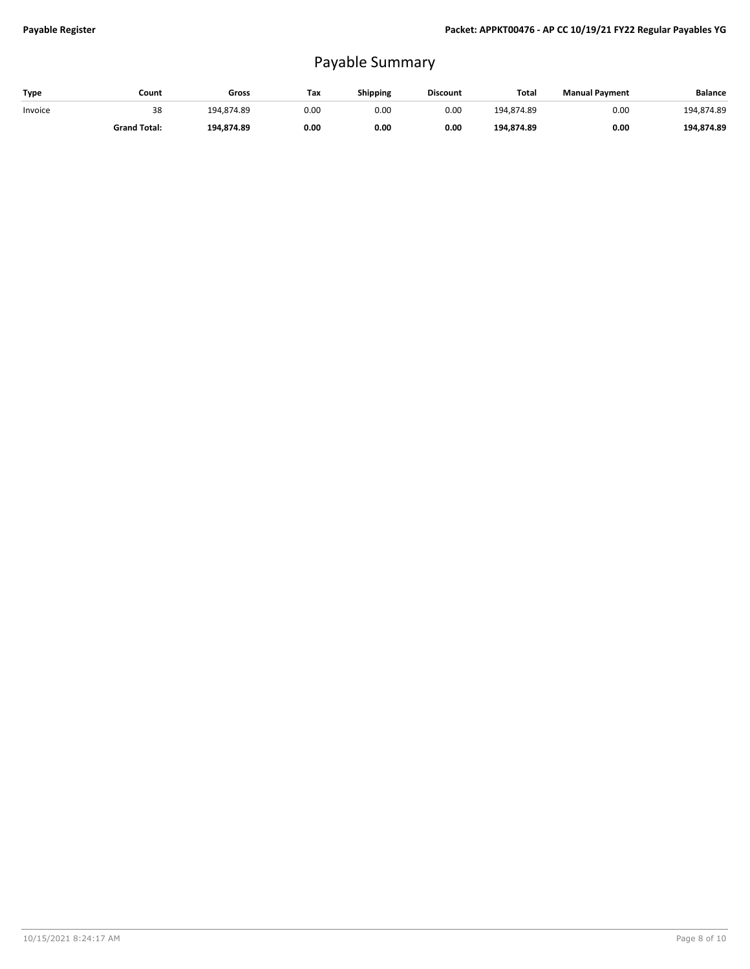# Payable Summary

| Type    | Count               | Gross      | Tax  | Shipping | <b>Discount</b> | Total      | <b>Manual Payment</b> | <b>Balance</b> |
|---------|---------------------|------------|------|----------|-----------------|------------|-----------------------|----------------|
| Invoice | 38                  | 194.874.89 | 0.00 | 0.00     | 0.00            | 194.874.89 | 0.00                  | 194.874.89     |
|         | <b>Grand Total:</b> | 194.874.89 | 0.00 | 0.00     | 0.00            | 194,874.89 | 0.00                  | 194.874.89     |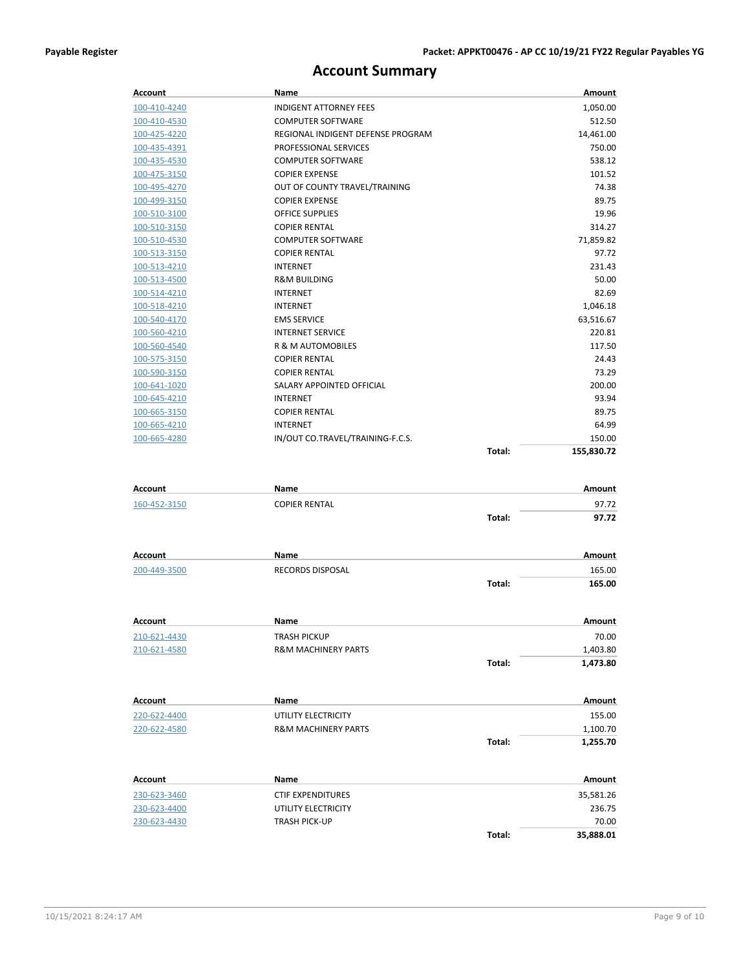### **Account Summary**

| Account        | Name                              |        | Amount        |
|----------------|-----------------------------------|--------|---------------|
| 100-410-4240   | <b>INDIGENT ATTORNEY FEES</b>     |        | 1,050.00      |
| 100-410-4530   | <b>COMPUTER SOFTWARE</b>          |        | 512.50        |
| 100-425-4220   | REGIONAL INDIGENT DEFENSE PROGRAM |        | 14,461.00     |
| 100-435-4391   | PROFESSIONAL SERVICES             |        | 750.00        |
| 100-435-4530   | <b>COMPUTER SOFTWARE</b>          |        | 538.12        |
| 100-475-3150   | <b>COPIER EXPENSE</b>             |        | 101.52        |
| 100-495-4270   | OUT OF COUNTY TRAVEL/TRAINING     |        | 74.38         |
| 100-499-3150   | <b>COPIER EXPENSE</b>             |        | 89.75         |
| 100-510-3100   | OFFICE SUPPLIES                   |        | 19.96         |
| 100-510-3150   | <b>COPIER RENTAL</b>              |        | 314.27        |
| 100-510-4530   | <b>COMPUTER SOFTWARE</b>          |        | 71,859.82     |
| 100-513-3150   | <b>COPIER RENTAL</b>              |        | 97.72         |
| 100-513-4210   | <b>INTERNET</b>                   |        | 231.43        |
| 100-513-4500   | <b>R&amp;M BUILDING</b>           |        | 50.00         |
| 100-514-4210   | <b>INTERNET</b>                   |        | 82.69         |
| 100-518-4210   | <b>INTERNET</b>                   |        | 1,046.18      |
| 100-540-4170   | <b>EMS SERVICE</b>                |        | 63,516.67     |
| 100-560-4210   | <b>INTERNET SERVICE</b>           |        | 220.81        |
| 100-560-4540   | <b>R &amp; M AUTOMOBILES</b>      |        | 117.50        |
| 100-575-3150   | <b>COPIER RENTAL</b>              |        | 24.43         |
| 100-590-3150   | <b>COPIER RENTAL</b>              |        | 73.29         |
| 100-641-1020   | SALARY APPOINTED OFFICIAL         |        | 200.00        |
| 100-645-4210   | <b>INTERNET</b>                   |        | 93.94         |
| 100-665-3150   | <b>COPIER RENTAL</b>              |        | 89.75         |
| 100-665-4210   | <b>INTERNET</b>                   |        | 64.99         |
| 100-665-4280   | IN/OUT CO.TRAVEL/TRAINING-F.C.S.  |        | 150.00        |
|                |                                   | Total: | 155,830.72    |
|                |                                   |        |               |
|                |                                   |        |               |
|                |                                   |        |               |
| Account        | Name                              |        | Amount        |
| 160-452-3150   | <b>COPIER RENTAL</b>              |        | 97.72         |
|                |                                   | Total: | 97.72         |
|                |                                   |        |               |
|                |                                   |        |               |
| Account        | Name                              |        | Amount        |
| 200-449-3500   | RECORDS DISPOSAL                  |        | 165.00        |
|                |                                   | Total: | 165.00        |
|                |                                   |        |               |
| Account        | Name                              |        | Amount        |
| 210-621-4430   | <b>TRASH PICKUP</b>               |        | 70.00         |
| 210-621-4580   | R&M MACHINERY PARTS               |        | 1,403.80      |
|                |                                   | Total: | 1,473.80      |
|                |                                   |        |               |
|                |                                   |        |               |
| Account        | Name                              |        | <b>Amount</b> |
| 220-622-4400   | UTILITY ELECTRICITY               |        | 155.00        |
| 220-622-4580   | <b>R&amp;M MACHINERY PARTS</b>    |        | 1,100.70      |
|                |                                   | Total: | 1,255.70      |
|                |                                   |        |               |
| <b>Account</b> | Name                              |        | Amount        |
| 230-623-3460   | <b>CTIF EXPENDITURES</b>          |        | 35,581.26     |
| 230-623-4400   | UTILITY ELECTRICITY               |        | 236.75        |
| 230-623-4430   | <b>TRASH PICK-UP</b>              |        | 70.00         |